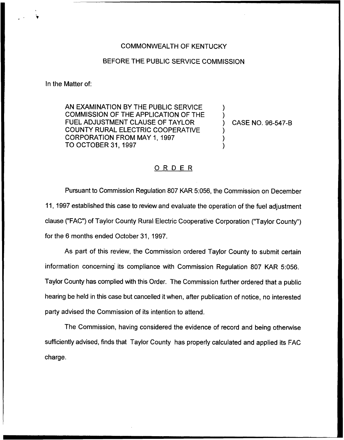## COMMONWEALTH OF KENTUCKY

## BEFORE THE PUBLIC SERVICE COMMISSION

In the Matter of:

AN EXAMINATION BY THE PUBLIC SERVICE COMMISSION OF THE APPLICATION OF THE FUEL ADJUSTMENT CLAUSE OF TAYLOR COUNTY RURAL ELECTRIC COOPERATIVE CORPORATION FROM MAY 1, 1997 TO OCTOBER 31, 1997

) CASE NO. 96-547-B

) )

) ) )

## ORDER

Pursuant to Commission Regulation 807 KAR 5:056, the Commission on December 11, 1997 established this case to review and evaluate the operation of the fuel adjustment clause ("FAC") of Taylor County Rural Electric Cooperative Corporation ("Taylor County" ) for the 6 months ended October 31, 1997,

As part of this review, the Commission ordered Taylor County to submit certain information concerning its compliance with Commission Regulation 807 KAR 5:056. Taylor County has complied with this Order. The Commission further ordered that a public hearing be held in this case but cancelled it when, after publication of notice, no interested party advised the Commission of its intention to attend.

The Commission, having considered the evidence of record and being otherwise sufficiently advised, finds that Taylor County has properly calculated and applied its FAC charge.